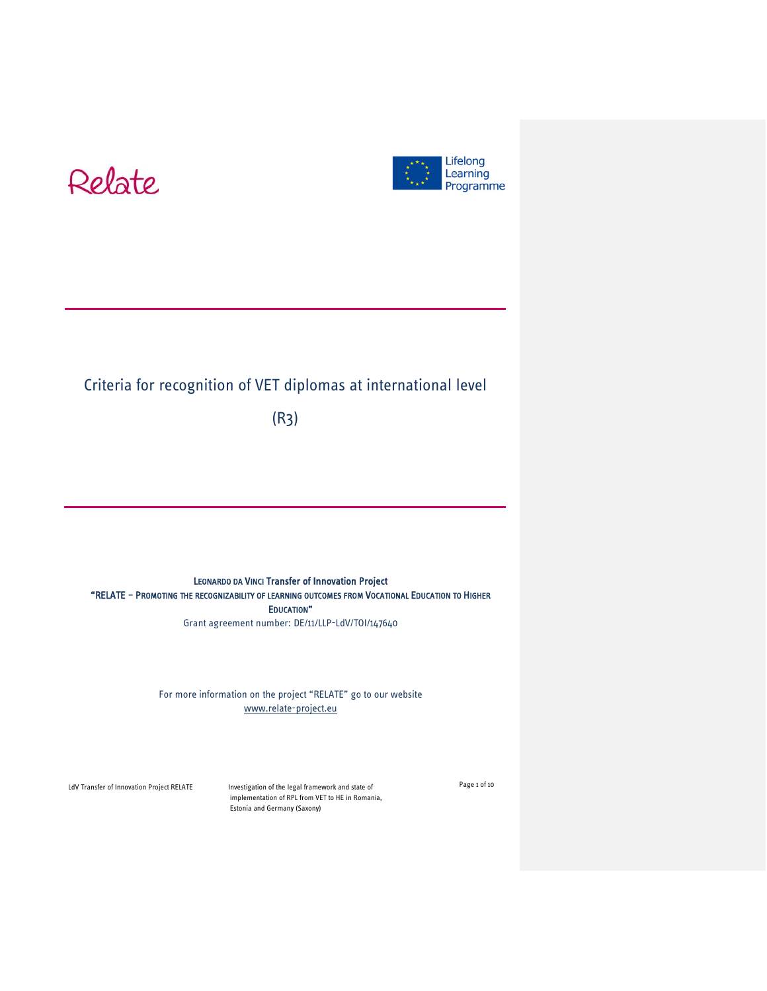



# Criteria for recognition of VET diplomas at international level

(R3)

LEONARDO DA VINCI Transfer of Innovation Project "RELATE – PROMOTING THE RECOGNIZABILITY OF LEARNING OUTCOMES FROM VOCATIONAL EDUCATION TO HIGHER EDUCATION" Grant agreement number: DE/11/LLP-LdV/TOI/147640

> For more information on the project "RELATE" go to our website [www.relate-project.eu](http://www.relate-project.eu/)

LdV Transfer of Innovation Project RELATE Investigation of the legal framework and state of implementation of RPL from VET to HE in Romania, Estonia and Germany (Saxony)

Page 1 of 10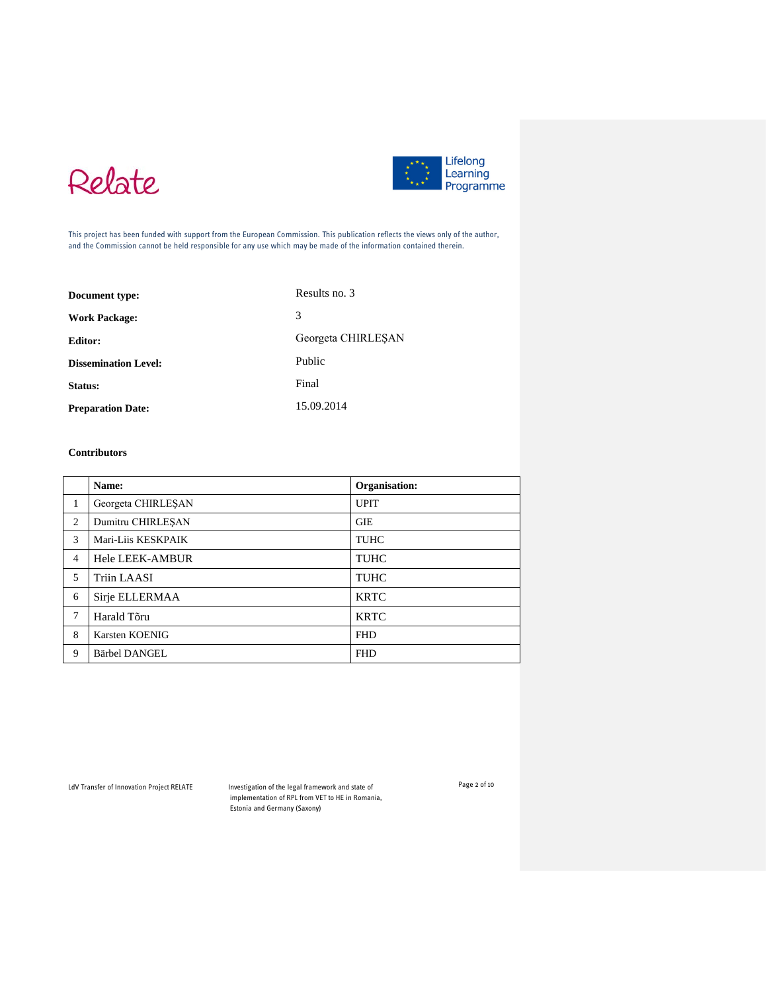



This project has been funded with support from the European Commission. This publication reflects the views only of the author, and the Commission cannot be held responsible for any use which may be made of the information contained therein.

| Document type:              | Results no. 3      |
|-----------------------------|--------------------|
| <b>Work Package:</b>        | 3                  |
| <b>Editor:</b>              | Georgeta CHIRLESAN |
| <b>Dissemination Level:</b> | Public             |
| Status:                     | Final              |
| <b>Preparation Date:</b>    | 15.09.2014         |

#### **Contributors**

|                | Name:                  | Organisation: |
|----------------|------------------------|---------------|
| 1              | Georgeta CHIRLESAN     | <b>UPIT</b>   |
| 2              | Dumitru CHIRLESAN      | <b>GIE</b>    |
| 3              | Mari-Liis KESKPAIK     | TUHC          |
| $\overline{4}$ | <b>Hele LEEK-AMBUR</b> | TUHC          |
| 5              | Triin LAASI            | <b>TUHC</b>   |
| 6              | Sirje ELLERMAA         | <b>KRTC</b>   |
| 7              | Harald Tõru            | <b>KRTC</b>   |
| 8              | Karsten KOENIG         | <b>FHD</b>    |
| 9              | Bärbel DANGEL          | <b>FHD</b>    |

LdV Transfer of Innovation Project RELATE Investigation of the legal framework and state of implementation of RPL from VET to HE in Romania, Estonia and Germany (Saxony)

Page 2 of 10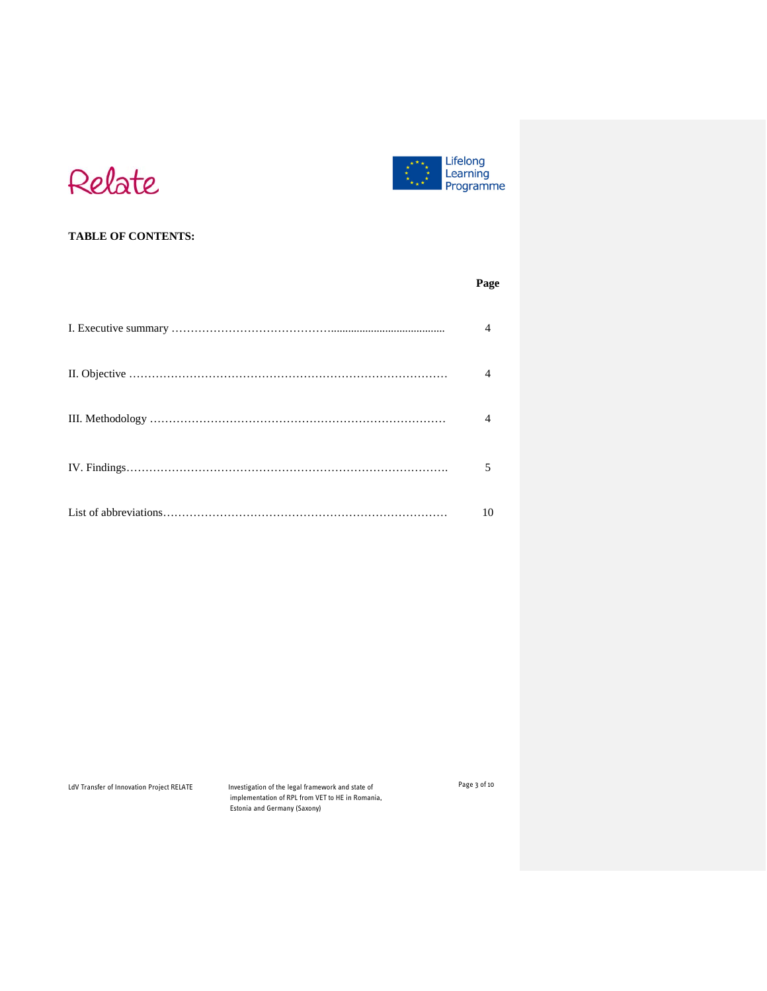



# **TABLE OF CONTENTS:**

| Page |
|------|
|      |
|      |
|      |
| 5    |
| 10   |

LdV Transfer of Innovation Project RELATE Investigation of the legal framework and state of implementation of RPL from VET to HE in Romania, Estonia and Germany (Saxony)

Page 3 of 10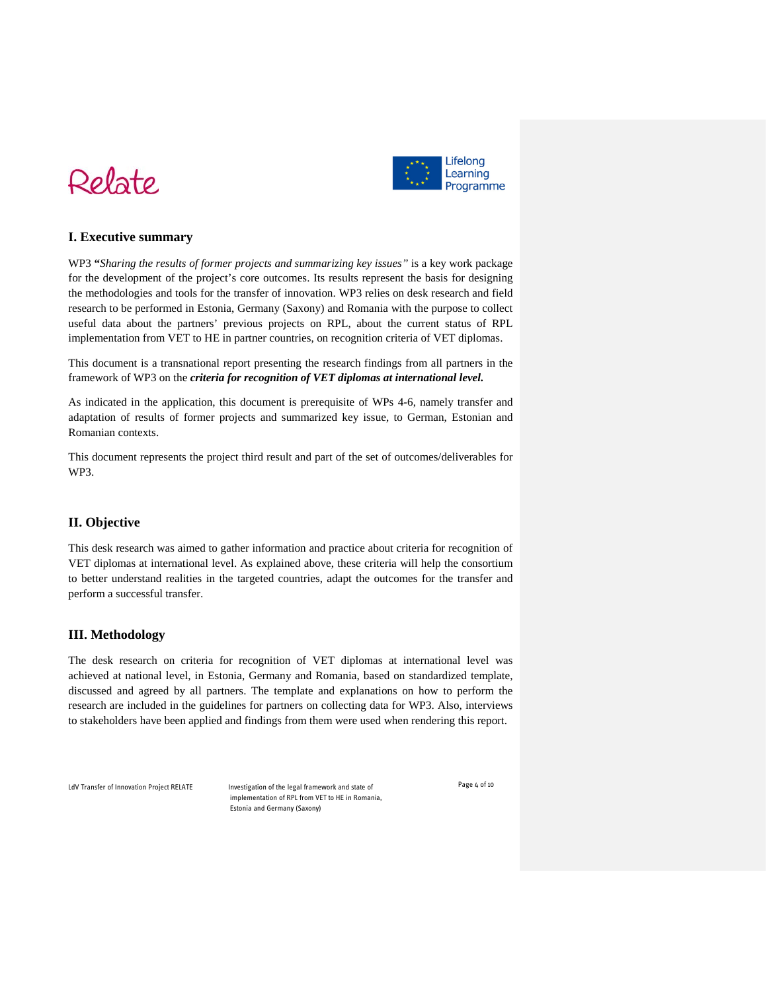



## **I. Executive summary**

WP3 **"***Sharing the results of former projects and summarizing key issues"* is a key work package for the development of the project's core outcomes. Its results represent the basis for designing the methodologies and tools for the transfer of innovation. WP3 relies on desk research and field research to be performed in Estonia, Germany (Saxony) and Romania with the purpose to collect useful data about the partners' previous projects on RPL, about the current status of RPL implementation from VET to HE in partner countries, on recognition criteria of VET diplomas.

This document is a transnational report presenting the research findings from all partners in the framework of WP3 on the *criteria for recognition of VET diplomas at international level.* 

As indicated in the application, this document is prerequisite of WPs 4-6, namely transfer and adaptation of results of former projects and summarized key issue, to German, Estonian and Romanian contexts.

This document represents the project third result and part of the set of outcomes/deliverables for WP3.

### **II. Objective**

This desk research was aimed to gather information and practice about criteria for recognition of VET diplomas at international level. As explained above, these criteria will help the consortium to better understand realities in the targeted countries, adapt the outcomes for the transfer and perform a successful transfer.

#### **III. Methodology**

The desk research on criteria for recognition of VET diplomas at international level was achieved at national level, in Estonia, Germany and Romania, based on standardized template, discussed and agreed by all partners. The template and explanations on how to perform the research are included in the guidelines for partners on collecting data for WP3. Also, interviews to stakeholders have been applied and findings from them were used when rendering this report.

LdV Transfer of Innovation Project RELATE Investigation of the legal framework and state of

implementation of RPL from VET to HE in Romania, Estonia and Germany (Saxony)

Page 4 of 10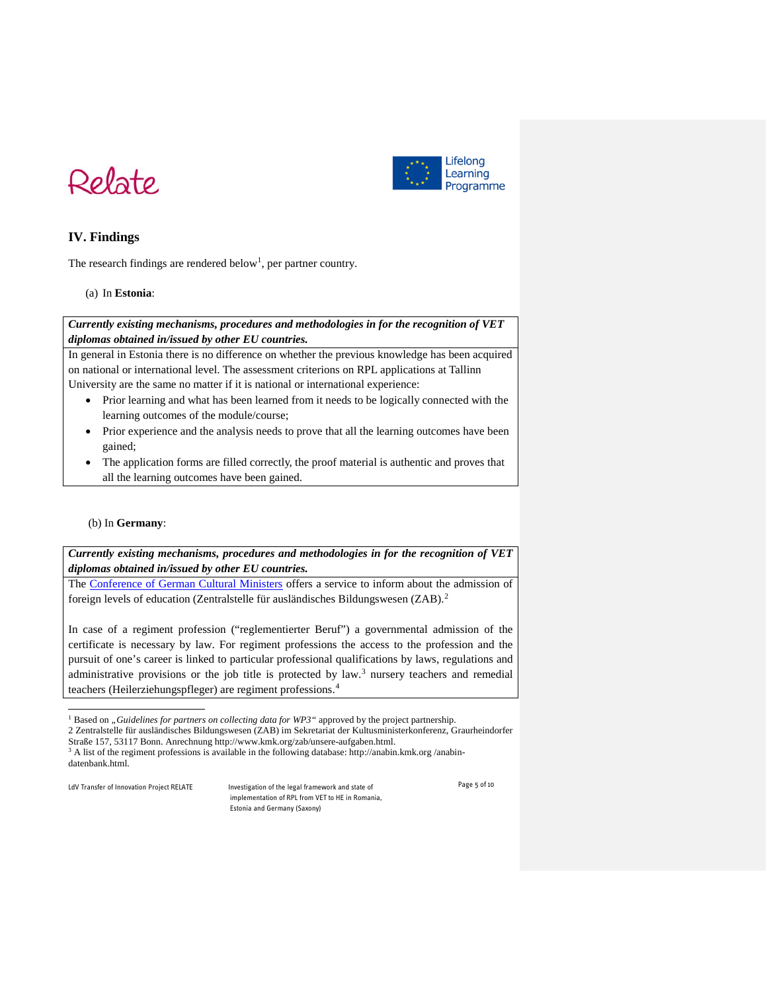



# **IV. Findings**

The research findings are rendered below<sup>[1](#page-4-0)</sup>, per partner country.

#### (a) In **Estonia**:

#### *Currently existing mechanisms, procedures and methodologies in for the recognition of VET diplomas obtained in/issued by other EU countries.*

In general in Estonia there is no difference on whether the previous knowledge has been acquired on national or international level. The assessment criterions on RPL applications at Tallinn University are the same no matter if it is national or international experience:

- Prior learning and what has been learned from it needs to be logically connected with the learning outcomes of the module/course;
- Prior experience and the analysis needs to prove that all the learning outcomes have been gained;
- The application forms are filled correctly, the proof material is authentic and proves that all the learning outcomes have been gained.

#### (b) In **Germany**:

*Currently existing mechanisms, procedures and methodologies in for the recognition of VET diplomas obtained in/issued by other EU countries.*

The [Conference of German Cultural Ministers](http://www.akkreditierungsrat.de/fileadmin/Seiteninhalte/Dokumente/kmk/KMK_Strukturvorgaben_eng.pdf) offers a service to inform about the admission of foreign levels of education (Zentralstelle für ausländisches Bildungswesen (ZAB).[2](#page-4-1)

In case of a regiment profession ("reglementierter Beruf") a governmental admission of the certificate is necessary by law. For regiment professions the access to the profession and the pursuit of one's career is linked to particular professional qualifications by laws, regulations and administrative provisions or the job title is protected by law.<sup>[3](#page-4-2)</sup> nursery teachers and remedial teachers (Heilerziehungspfleger) are regiment professions.[4](#page-4-3)

 $\overline{a}$ 

<span id="page-4-2"></span><span id="page-4-1"></span><span id="page-4-0"></span>LdV Transfer of Innovation Project RELATE Investigation of the legal framework and state of implementation of RPL from VET to HE in Romania, Estonia and Germany (Saxony)

Page 5 of 10

<sup>&</sup>lt;sup>1</sup> Based on *"Guidelines for partners on collecting data for WP3*" approved by the project partnership.

<sup>2</sup> Zentralstelle für ausländisches Bildungswesen (ZAB) im Sekretariat der Kultusministerkonferenz, Graurheindorfer Straße 157, 53117 Bonn. Anrechnung http://www.kmk.org/zab/unsere-aufgaben.html.

<span id="page-4-3"></span> $3$  A list of the regiment professions is available in the following database: http://anabin.kmk.org /anabindatenbank.html.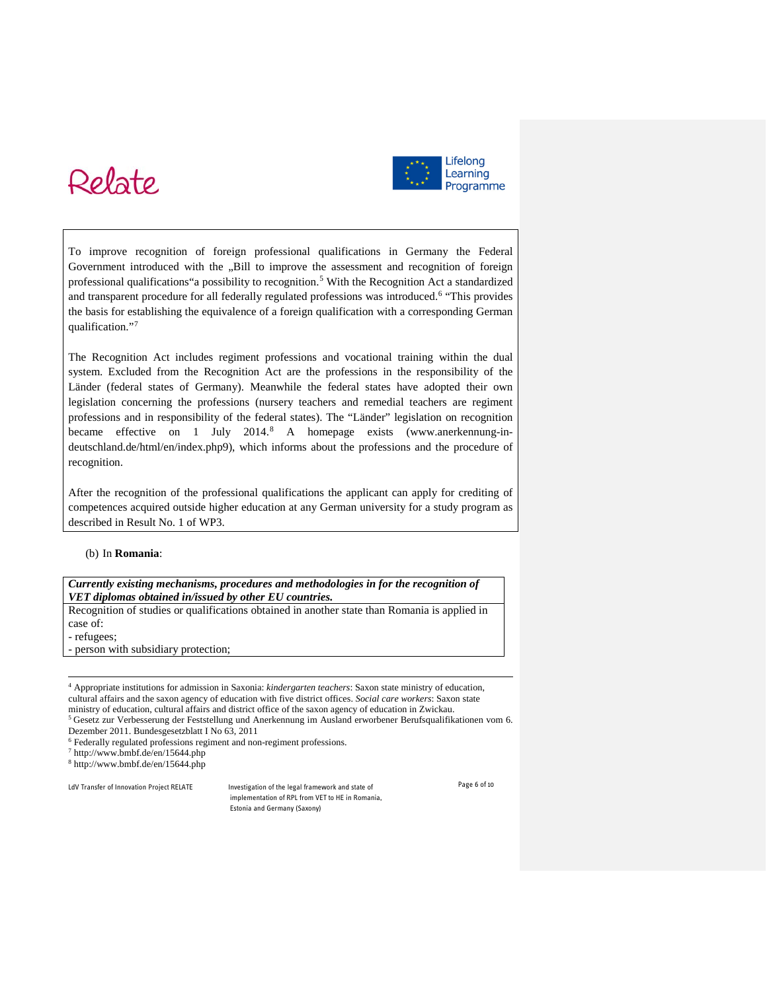# Relate



To improve recognition of foreign professional qualifications in Germany the Federal Government introduced with the "Bill to improve the assessment and recognition of foreign professional qualifications"a possibility to recognition.[5](#page-5-0) With the Recognition Act a standardized and transparent procedure for all federally regulated professions was introduced.[6](#page-5-1) "This provides the basis for establishing the equivalence of a foreign qualification with a corresponding German qualification."[7](#page-5-2)

The Recognition Act includes regiment professions and vocational training within the dual system. Excluded from the Recognition Act are the professions in the responsibility of the Länder (federal states of Germany). Meanwhile the federal states have adopted their own legislation concerning the professions (nursery teachers and remedial teachers are regiment professions and in responsibility of the federal states). The "Länder" legislation on recognition became effective on 1 July 2014.[8](#page-5-3) A homepage exists (www.anerkennung-indeutschland.de/html/en/index.php9), which informs about the professions and the procedure of recognition.

After the recognition of the professional qualifications the applicant can apply for crediting of competences acquired outside higher education at any German university for a study program as described in Result No. 1 of WP3.

#### (b) In **Romania**:

*Currently existing mechanisms, procedures and methodologies in for the recognition of VET diplomas obtained in/issued by other EU countries.*

Recognition of studies or qualifications obtained in another state than Romania is applied in case of:

- refugees;

j

- person with subsidiary protection;

<sup>4</sup> Appropriate institutions for admission in Saxonia: *kindergarten teachers*: Saxon state ministry of education, cultural affairs and the saxon agency of education with five district offices. *Social care workers*: Saxon state ministry of education, cultural affairs and district office of the saxon agency of education in Zwickau.

<sup>5</sup> [Gesetz zur Verbesserung der Feststellung und Anerkennung im Ausland erworbener Berufsqualifikationen](http://www.bmbf.de/pubRD/bqfg.pdf) vom 6. Dezember 2011. Bundesgesetzblatt I No 63, 2011

<sup>6</sup> Federally regulated professions regiment and non-regiment professions.

<sup>7</sup> http://www.bmbf.de/en/15644.php

<sup>8</sup> http://www.bmbf.de/en/15644.php

<span id="page-5-3"></span>

<span id="page-5-2"></span><span id="page-5-1"></span><span id="page-5-0"></span>LdV Transfer of Innovation Project RELATE Investigation of the legal framework and state of implementation of RPL from VET to HE in Romania, Estonia and Germany (Saxony)

Page 6 of 10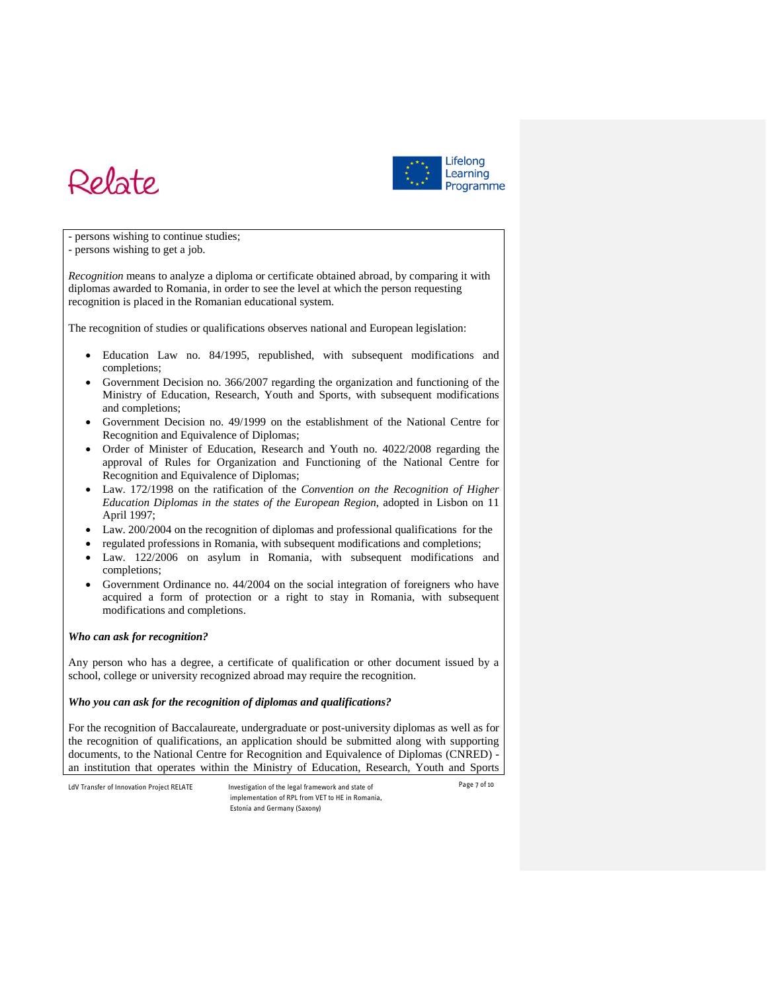



- persons wishing to continue studies;

- persons wishing to get a job.

*Recognition* means to analyze a diploma or certificate obtained abroad, by comparing it with diplomas awarded to Romania, in order to see the level at which the person requesting recognition is placed in the Romanian educational system.

The recognition of studies or qualifications observes national and European legislation:

- Education Law no. 84/1995, republished, with subsequent modifications and completions;
- Government Decision no. 366/2007 regarding the organization and functioning of the Ministry of Education, Research, Youth and Sports, with subsequent modifications and completions;
- Government Decision no. 49/1999 on the establishment of the National Centre for Recognition and Equivalence of Diplomas;
- Order of Minister of Education, Research and Youth no. 4022/2008 regarding the approval of Rules for Organization and Functioning of the National Centre for Recognition and Equivalence of Diplomas;
- Law. 172/1998 on the ratification of the *Convention on the Recognition of Higher Education Diplomas in the states of the European Region*, adopted in Lisbon on 11 April 1997;
- Law. 200/2004 on the recognition of diplomas and professional qualifications for the
- regulated professions in Romania, with subsequent modifications and completions;
- Law. 122/2006 on asylum in Romania, with subsequent modifications and completions;
- Government Ordinance no. 44/2004 on the social integration of foreigners who have acquired a form of protection or a right to stay in Romania, with subsequent modifications and completions.

#### *Who can ask for recognition?*

Any person who has a degree, a certificate of qualification or other document issued by a school, college or university recognized abroad may require the recognition.

#### *Who you can ask for the recognition of diplomas and qualifications?*

For the recognition of Baccalaureate, undergraduate or post-university diplomas as well as for the recognition of qualifications, an application should be submitted along with supporting documents, to the National Centre for Recognition and Equivalence of Diplomas (CNRED) an institution that operates within the Ministry of Education, Research, Youth and Sports

LdV Transfer of Innovation Project RELATE Investigation of the legal framework and state of implementation of RPL from VET to HE in Romania, Estonia and Germany (Saxony)

Page 7 of 10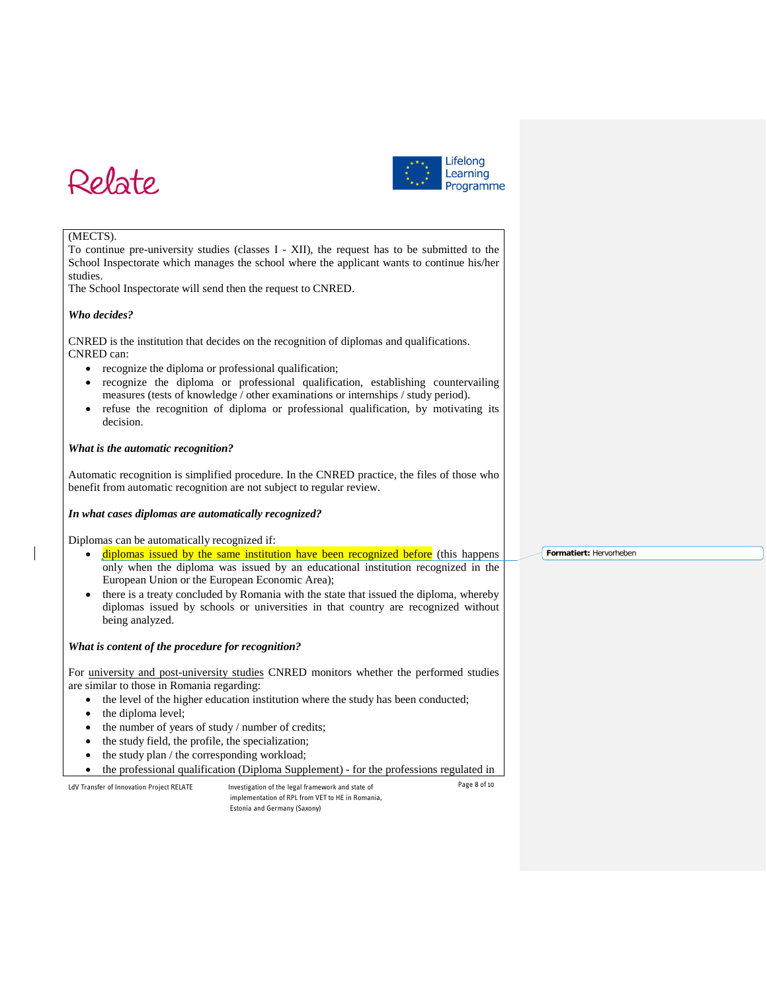



#### (MECTS).

To continue pre-university studies (classes I - XII), the request has to be submitted to the School Inspectorate which manages the school where the applicant wants to continue his/her studies.

The School Inspectorate will send then the request to CNRED.

#### *Who decides?*

CNRED is the institution that decides on the recognition of diplomas and qualifications. CNRED can:

- recognize the diploma or professional qualification;
- recognize the diploma or professional qualification, establishing countervailing measures (tests of knowledge / other examinations or internships / study period).
- refuse the recognition of diploma or professional qualification, by motivating its decision.

#### *What is the automatic recognition?*

Automatic recognition is simplified procedure. In the CNRED practice, the files of those who benefit from automatic recognition are not subject to regular review.

#### *In what cases diplomas are automatically recognized?*

Diplomas can be automatically recognized if:

- diplomas issued by the same institution have been recognized before (this happens only when the diploma was issued by an educational institution recognized in the European Union or the European Economic Area);
- there is a treaty concluded by Romania with the state that issued the diploma, whereby diplomas issued by schools or universities in that country are recognized without being analyzed.

#### *What is content of the procedure for recognition?*

For university and post-university studies CNRED monitors whether the performed studies are similar to those in Romania regarding:

- the level of the higher education institution where the study has been conducted;
- the diploma level;
- the number of years of study / number of credits;
- the study field, the profile, the specialization;
- the study plan / the corresponding workload;
- the professional qualification (Diploma Supplement) for the professions regulated in

LdV Transfer of Innovation Project RELATE Investigation of the legal framework and state of implementation of RPL from VET to HE in Romania, Estonia and Germany (Saxony)

Page 8 of 10

**Formatiert:** Hervorheben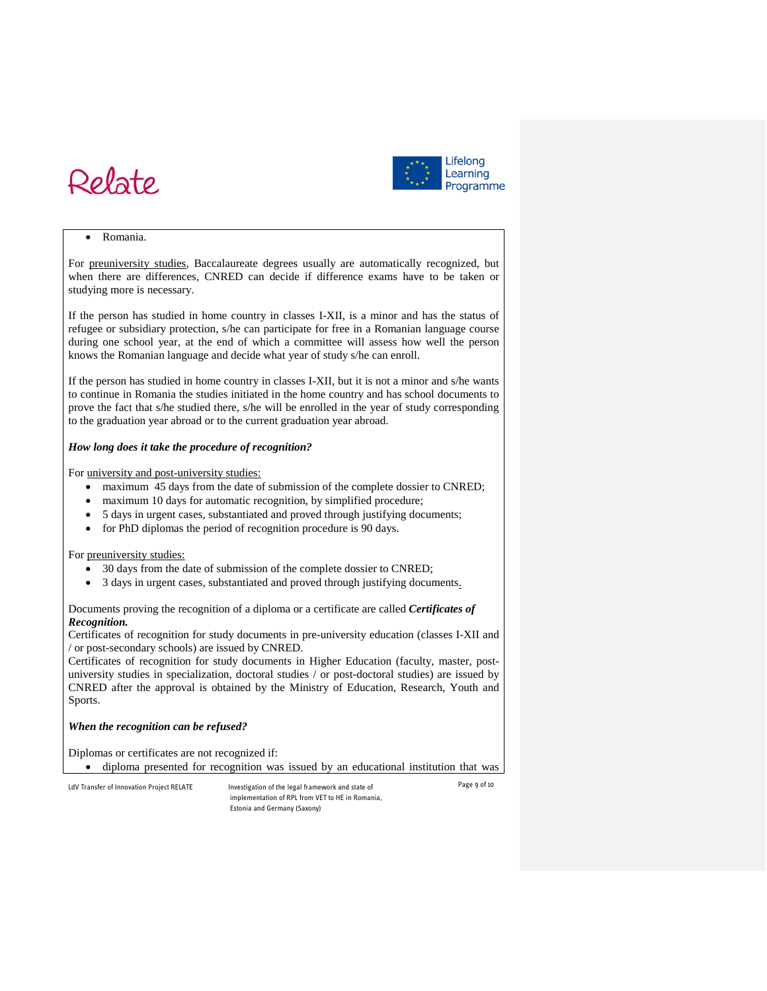



#### • Romania.

For preuniversity studies, Baccalaureate degrees usually are automatically recognized, but when there are differences, CNRED can decide if difference exams have to be taken or studying more is necessary.

If the person has studied in home country in classes I-XII, is a minor and has the status of refugee or subsidiary protection, s/he can participate for free in a Romanian language course during one school year, at the end of which a committee will assess how well the person knows the Romanian language and decide what year of study s/he can enroll.

If the person has studied in home country in classes I-XII, but it is not a minor and s/he wants to continue in Romania the studies initiated in the home country and has school documents to prove the fact that s/he studied there, s/he will be enrolled in the year of study corresponding to the graduation year abroad or to the current graduation year abroad.

#### *How long does it take the procedure of recognition?*

For university and post-university studies:

- maximum 45 days from the date of submission of the complete dossier to CNRED;
- maximum 10 days for automatic recognition, by simplified procedure;
- 5 days in urgent cases, substantiated and proved through justifying documents;
- for PhD diplomas the period of recognition procedure is 90 days.

#### For preuniversity studies:

- 30 days from the date of submission of the complete dossier to CNRED;
- 3 days in urgent cases, substantiated and proved through justifying documents.

#### Documents proving the recognition of a diploma or a certificate are called *Certificates of Recognition.*

Certificates of recognition for study documents in pre-university education (classes I-XII and / or post-secondary schools) are issued by CNRED.

Certificates of recognition for study documents in Higher Education (faculty, master, postuniversity studies in specialization, doctoral studies / or post-doctoral studies) are issued by CNRED after the approval is obtained by the Ministry of Education, Research, Youth and Sports.

#### *When the recognition can be refused?*

Diplomas or certificates are not recognized if:

• diploma presented for recognition was issued by an educational institution that was

LdV Transfer of Innovation Project RELATE Investigation of the legal framework and state of implementation of RPL from VET to HE in Romania, Estonia and Germany (Saxony)

Page 9 of 10